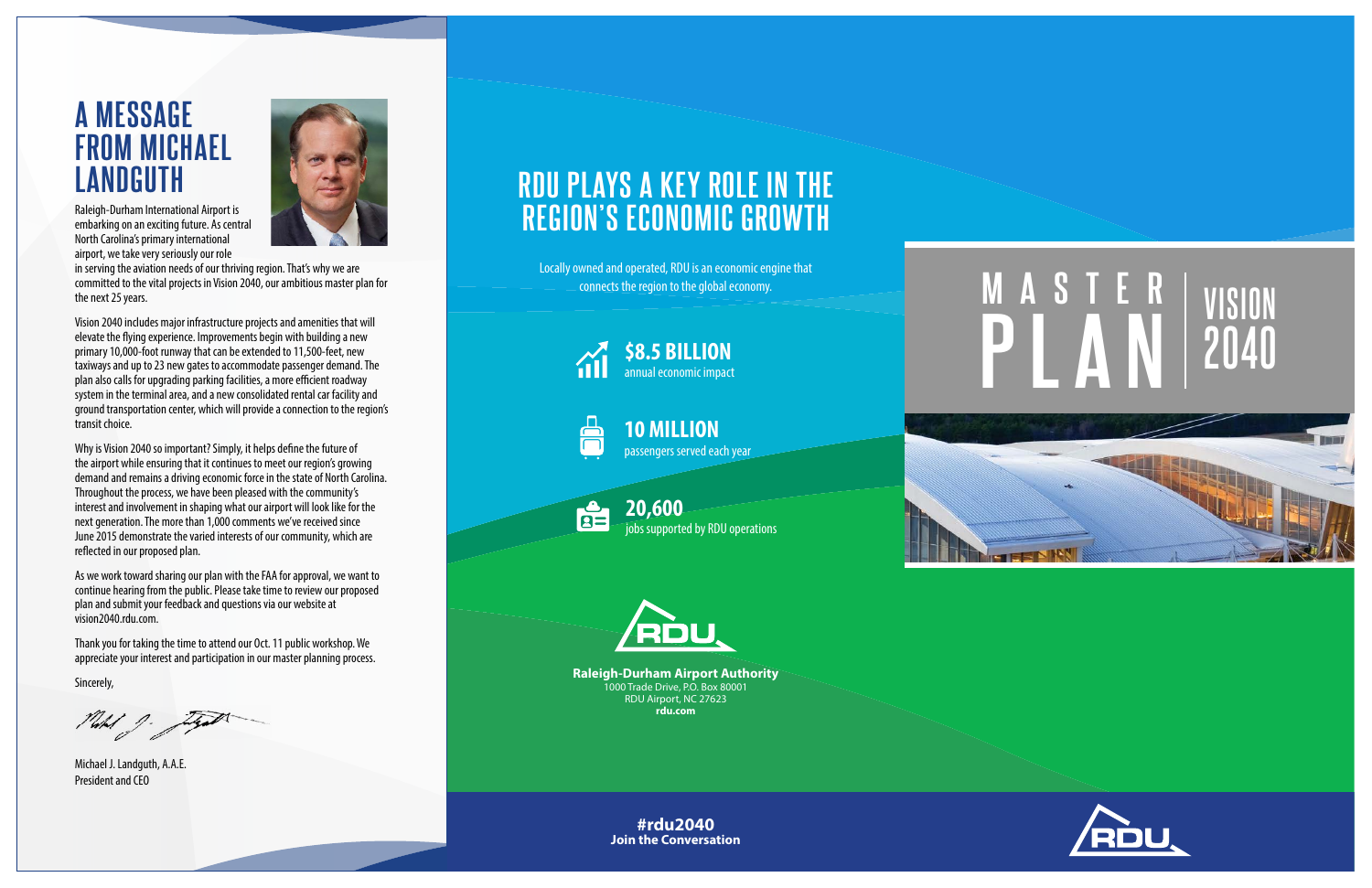



## **A MESSAGE FROM MICHAEL LANDGUTH**



Raleigh-Durham International Airport is embarking on an exciting future. As central North Carolina's primary international airport, we take very seriously our role

in serving the aviation needs of our thriving region. That's why we are committed to the vital projects in Vision 2040, our ambitious master plan for the next 25 years.

Vision 2040 includes major infrastructure projects and amenities that will elevate the flying experience. Improvements begin with building a new primary 10,000-foot runway that can be extended to 11,500-feet, new taxiways and up to 23 new gates to accommodate passenger demand. The plan also calls for upgrading parking facilities, a more efficient roadway system in the terminal area, and a new consolidated rental car facility and ground transportation center, which will provide a connection to the region's transit choice.

Why is Vision 2040 so important? Simply, it helps define the future of the airport while ensuring that it continues to meet our region's growing demand and remains a driving economic force in the state of North Carolina. Throughout the process, we have been pleased with the community's interest and involvement in shaping what our airport will look like for the next generation. The more than 1,000 comments we've received since June 2015 demonstrate the varied interests of our community, which are reflected in our proposed plan.

As we work toward sharing our plan with the FAA for approval, we want to continue hearing from the public. Please take time to review our proposed plan and submit your feedback and questions via our website at vision2040.rdu.com.

Thank you for taking the time to attend our Oct. 11 public workshop. We appreciate your interest and participation in our master planning process.

Sincerely,

Plated J.

Michael J. Landguth, A.A.E. President and CEO

**Raleigh-Durham Airport Authority** 1000 Trade Drive, P.O. Box 80001 RDU Airport, NC 27623 **rdu.com**

## **RDU PLAYS A KEY ROLE IN THE REGION'S ECONOMIC GROWTH**

Locally owned and operated, RDU is an economic engine that connects the region to the global economy.



jobs supported by RDU operations





**\$8.5 BILLION** annual economic impact





**10 MILLION**  passengers served each year

**#rdu2040 Join the Conversation**